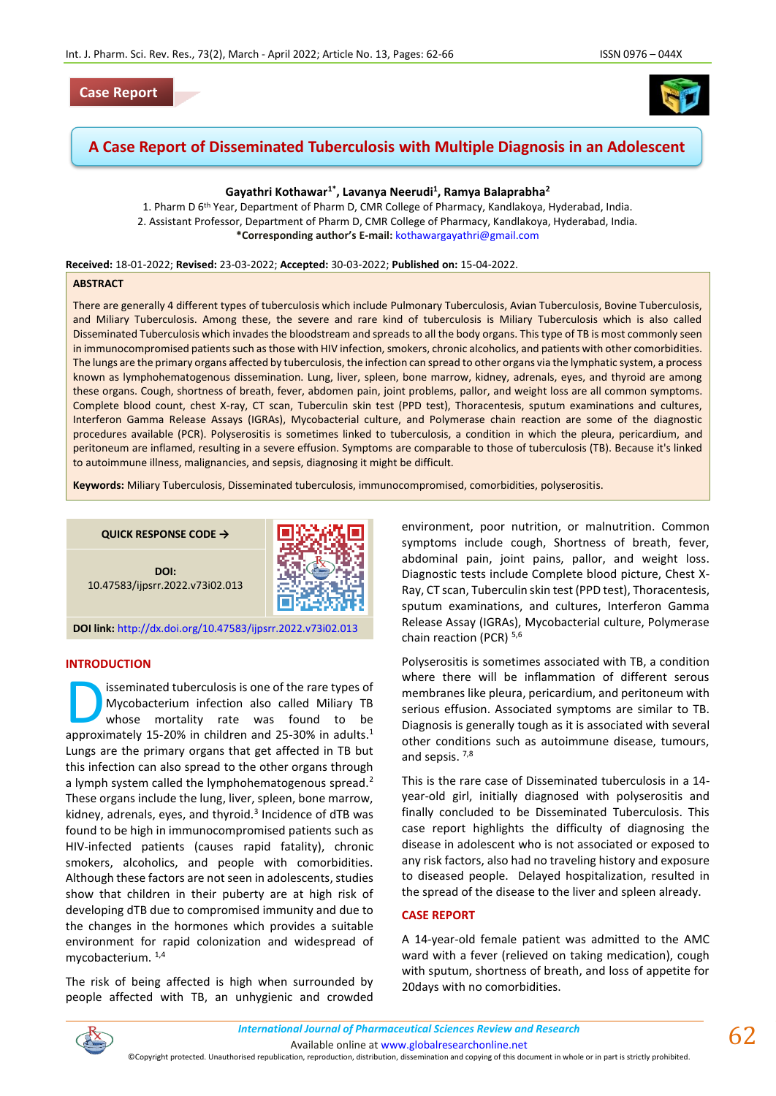

# **A Case Report of Disseminated Tuberculosis with Multiple Diagnosis in an Adolescent**

# **Gayathri Kothawar1\*, Lavanya Neerudi<sup>1</sup> , Ramya Balaprabha<sup>2</sup>**

1. Pharm D 6th Year, Department of Pharm D, CMR College of Pharmacy, Kandlakoya, Hyderabad, India. 2. Assistant Professor, Department of Pharm D, CMR College of Pharmacy, Kandlakoya, Hyderabad, India. **\*Corresponding author's E-mail:** [kothawargayathri@gmail.com](mailto:kothawargayathri@gmail.com)

**Received:** 18-01-2022; **Revised:** 23-03-2022; **Accepted:** 30-03-2022; **Published on:** 15-04-2022.

#### **ABSTRACT**

There are generally 4 different types of tuberculosis which include Pulmonary Tuberculosis, Avian Tuberculosis, Bovine Tuberculosis, and Miliary Tuberculosis. Among these, the severe and rare kind of tuberculosis is Miliary Tuberculosis which is also called Disseminated Tuberculosis which invades the bloodstream and spreads to all the body organs. This type of TB is most commonly seen in immunocompromised patients such as those with HIV infection, smokers, chronic alcoholics, and patients with other comorbidities. The lungs are the primary organs affected by tuberculosis, the infection can spread to other organs via the lymphatic system, a process known as lymphohematogenous dissemination. Lung, liver, spleen, bone marrow, kidney, adrenals, eyes, and thyroid are among these organs. Cough, shortness of breath, fever, abdomen pain, joint problems, pallor, and weight loss are all common symptoms. Complete blood count, chest X-ray, CT scan, Tuberculin skin test (PPD test), Thoracentesis, sputum examinations and cultures, Interferon Gamma Release Assays (IGRAs), Mycobacterial culture, and Polymerase chain reaction are some of the diagnostic procedures available (PCR). Polyserositis is sometimes linked to tuberculosis, a condition in which the pleura, pericardium, and peritoneum are inflamed, resulting in a severe effusion. Symptoms are comparable to those of tuberculosis (TB). Because it's linked to autoimmune illness, malignancies, and sepsis, diagnosing it might be difficult.

**Keywords:** Miliary Tuberculosis, Disseminated tuberculosis, immunocompromised, comorbidities, polyserositis.

**QUICK RESPONSE CODE →**

**DOI:** 10.47583/ijpsrr.2022.v73i02.013



**DOI link:** <http://dx.doi.org/10.47583/ijpsrr.2022.v73i02.013>

# **INTRODUCTION**

isseminated tuberculosis is one of the rare types of Mycobacterium infection also called Miliary TB whose mortality rate was found to be **approximated tuberculosis is one of the rare types of** Mycobacterium infection also called Miliary TB whose mortality rate was found to be approximately 15-20% in children and 25-30% in adults.<sup>1</sup> Lungs are the primary organs that get affected in TB but this infection can also spread to the other organs through a lymph system called the lymphohematogenous spread.<sup>2</sup> These organs include the lung, liver, spleen, bone marrow, kidney, adrenals, eyes, and thyroid.<sup>3</sup> Incidence of dTB was found to be high in immunocompromised patients such as HIV-infected patients (causes rapid fatality), chronic smokers, alcoholics, and people with comorbidities. Although these factors are not seen in adolescents, studies show that children in their puberty are at high risk of developing dTB due to compromised immunity and due to the changes in the hormones which provides a suitable environment for rapid colonization and widespread of mycobacterium.<sup>1,4</sup>

The risk of being affected is high when surrounded by people affected with TB, an unhygienic and crowded environment, poor nutrition, or malnutrition. Common symptoms include cough, Shortness of breath, fever, abdominal pain, joint pains, pallor, and weight loss. Diagnostic tests include Complete blood picture, Chest X-Ray, CT scan, Tuberculin skin test (PPD test), Thoracentesis, sputum examinations, and cultures, Interferon Gamma Release Assay (IGRAs), Mycobacterial culture, Polymerase chain reaction (PCR)<sup>5,6</sup>

Polyserositis is sometimes associated with TB, a condition where there will be inflammation of different serous membranes like pleura, pericardium, and peritoneum with serious effusion. Associated symptoms are similar to TB. Diagnosis is generally tough as it is associated with several other conditions such as autoimmune disease, tumours, and sepsis.<sup>7,8</sup>

This is the rare case of Disseminated tuberculosis in a 14 year-old girl, initially diagnosed with polyserositis and finally concluded to be Disseminated Tuberculosis. This case report highlights the difficulty of diagnosing the disease in adolescent who is not associated or exposed to any risk factors, also had no traveling history and exposure to diseased people. Delayed hospitalization, resulted in the spread of the disease to the liver and spleen already.

#### **CASE REPORT**

A 14-year-old female patient was admitted to the AMC ward with a fever (relieved on taking medication), cough with sputum, shortness of breath, and loss of appetite for 20days with no comorbidities.



Available online a[t www.globalresearchonline.net](http://www.globalresearchonline.net/)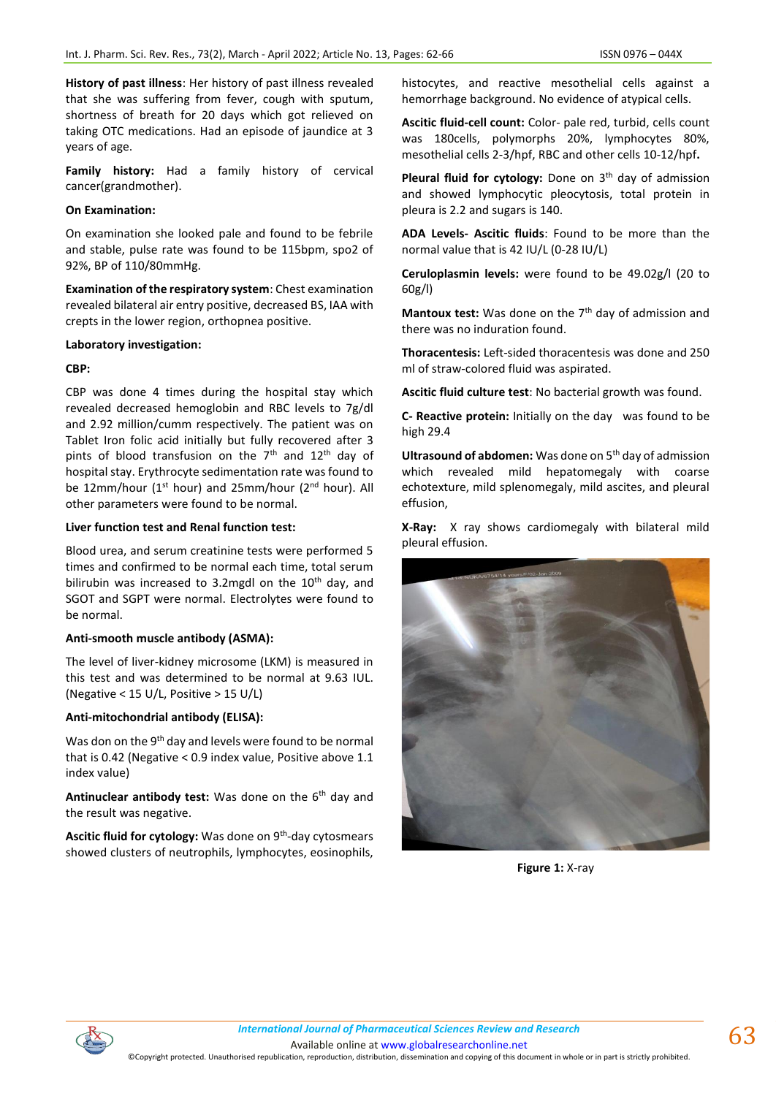**History of past illness**: Her history of past illness revealed that she was suffering from fever, cough with sputum, shortness of breath for 20 days which got relieved on taking OTC medications. Had an episode of jaundice at 3 years of age.

**Family history:** Had a family history of cervical cancer(grandmother).

## **On Examination:**

On examination she looked pale and found to be febrile and stable, pulse rate was found to be 115bpm, spo2 of 92%, BP of 110/80mmHg.

**Examination of the respiratory system**: Chest examination revealed bilateral air entry positive, decreased BS, IAA with crepts in the lower region, orthopnea positive.

#### **Laboratory investigation:**

## **CBP:**

CBP was done 4 times during the hospital stay which revealed decreased hemoglobin and RBC levels to 7g/dl and 2.92 million/cumm respectively. The patient was on Tablet Iron folic acid initially but fully recovered after 3 pints of blood transfusion on the  $7<sup>th</sup>$  and  $12<sup>th</sup>$  day of hospital stay. Erythrocyte sedimentation rate was found to be 12mm/hour (1<sup>st</sup> hour) and 25mm/hour (2<sup>nd</sup> hour). All other parameters were found to be normal.

## **Liver function test and Renal function test:**

Blood urea, and serum creatinine tests were performed 5 times and confirmed to be normal each time, total serum bilirubin was increased to 3.2mgdl on the  $10<sup>th</sup>$  day, and SGOT and SGPT were normal. Electrolytes were found to be normal.

## **Anti-smooth muscle antibody (ASMA):**

The level of liver-kidney microsome (LKM) is measured in this test and was determined to be normal at 9.63 IUL. (Negative < 15 U/L, Positive > 15 U/L)

# **Anti-mitochondrial antibody (ELISA):**

Was don on the 9<sup>th</sup> day and levels were found to be normal that is 0.42 (Negative < 0.9 index value, Positive above 1.1 index value)

Antinuclear antibody test: Was done on the 6<sup>th</sup> day and the result was negative.

Ascitic fluid for cytology: Was done on 9<sup>th</sup>-day cytosmears showed clusters of neutrophils, lymphocytes, eosinophils,

histocytes, and reactive mesothelial cells against a hemorrhage background. No evidence of atypical cells.

**Ascitic fluid-cell count:** Color- pale red, turbid, cells count was 180cells, polymorphs 20%, lymphocytes 80%, mesothelial cells 2-3/hpf, RBC and other cells 10-12/hpf**.**

Pleural fluid for cytology: Done on 3<sup>th</sup> day of admission and showed lymphocytic pleocytosis, total protein in pleura is 2.2 and sugars is 140.

**ADA Levels- Ascitic fluids**: Found to be more than the normal value that is 42 IU/L (0-28 IU/L)

**Ceruloplasmin levels:** were found to be 49.02g/l (20 to 60g/l)

**Mantoux test:** Was done on the 7<sup>th</sup> day of admission and there was no induration found.

**Thoracentesis:** Left-sided thoracentesis was done and 250 ml of straw-colored fluid was aspirated.

**Ascitic fluid culture test**: No bacterial growth was found.

**C- Reactive protein:** Initially on the day was found to be high 29.4

**Ultrasound of abdomen:** Was done on 5<sup>th</sup> day of admission which revealed mild hepatomegaly with coarse echotexture, mild splenomegaly, mild ascites, and pleural effusion,

**X-Ray:** X ray shows cardiomegaly with bilateral mild pleural effusion.



**Figure 1:** X-ray

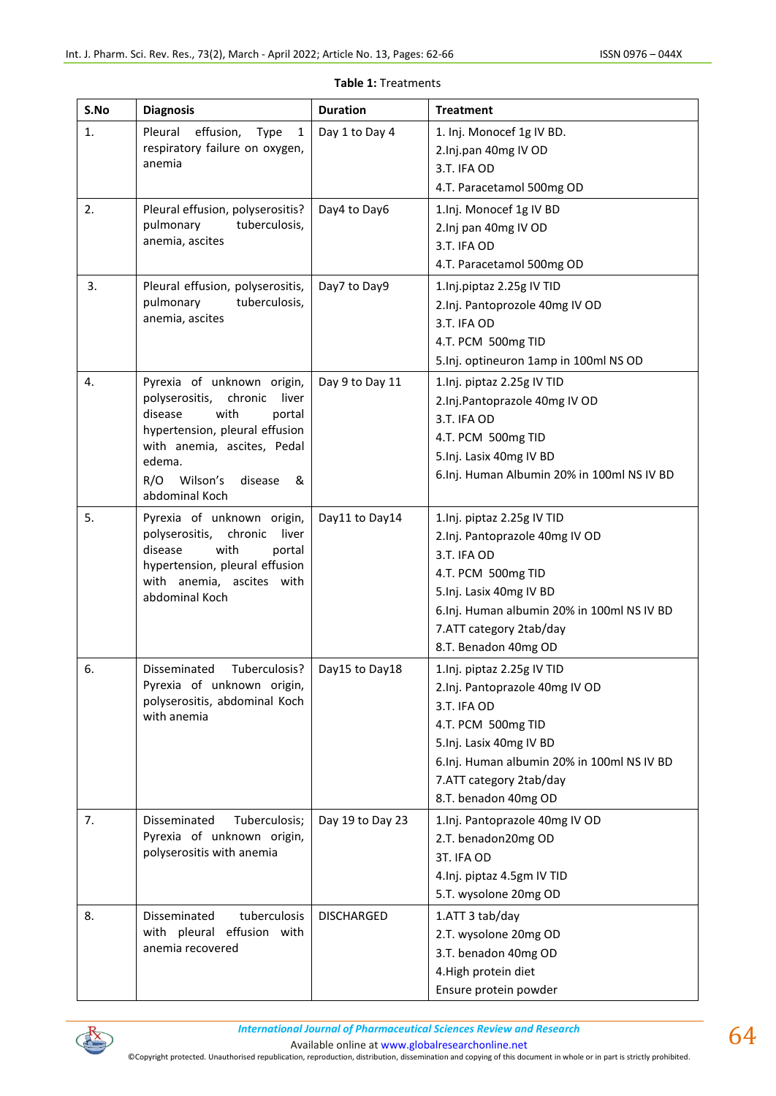| S.No | <b>Diagnosis</b>                                                                                                                                                                                                              | <b>Duration</b>   | <b>Treatment</b>                                                                                                                                                                                                              |
|------|-------------------------------------------------------------------------------------------------------------------------------------------------------------------------------------------------------------------------------|-------------------|-------------------------------------------------------------------------------------------------------------------------------------------------------------------------------------------------------------------------------|
| 1.   | Pleural<br>effusion,<br>Type<br>$\mathbf{1}$<br>respiratory failure on oxygen,<br>anemia                                                                                                                                      | Day 1 to Day 4    | 1. Inj. Monocef 1g IV BD.<br>2.Inj.pan 40mg IV OD<br>3.T. IFA OD<br>4.T. Paracetamol 500mg OD                                                                                                                                 |
| 2.   | Pleural effusion, polyserositis?<br>tuberculosis,<br>pulmonary<br>anemia, ascites                                                                                                                                             | Day4 to Day6      | 1.Inj. Monocef 1g IV BD<br>2.Inj pan 40mg IV OD<br>3.T. IFA OD<br>4.T. Paracetamol 500mg OD                                                                                                                                   |
| 3.   | Pleural effusion, polyserositis,<br>tuberculosis,<br>pulmonary<br>anemia, ascites                                                                                                                                             | Day7 to Day9      | 1.Inj.piptaz 2.25g IV TID<br>2.Inj. Pantoprozole 40mg IV OD<br>3.T. IFA OD<br>4.T. PCM 500mg TID<br>5. Inj. optineuron 1amp in 100ml NS OD                                                                                    |
| 4.   | Pyrexia of unknown origin,<br>polyserositis,<br>chronic<br>liver<br>with<br>disease<br>portal<br>hypertension, pleural effusion<br>with anemia, ascites, Pedal<br>edema.<br>Wilson's<br>R/O<br>disease<br>&<br>abdominal Koch | Day 9 to Day 11   | 1.Inj. piptaz 2.25g IV TID<br>2.Inj.Pantoprazole 40mg IV OD<br>3.T. IFA OD<br>4.T. PCM 500mg TID<br>5.Inj. Lasix 40mg IV BD<br>6.Inj. Human Albumin 20% in 100ml NS IV BD                                                     |
| 5.   | Pyrexia of unknown origin,<br>polyserositis,<br>liver<br>chronic<br>with<br>disease<br>portal<br>hypertension, pleural effusion<br>with anemia, ascites with<br>abdominal Koch                                                | Day11 to Day14    | 1.Inj. piptaz 2.25g IV TID<br>2.Inj. Pantoprazole 40mg IV OD<br>3.T. IFA OD<br>4.T. PCM 500mg TID<br>5.Inj. Lasix 40mg IV BD<br>6.Inj. Human albumin 20% in 100ml NS IV BD<br>7.ATT category 2tab/day<br>8.T. Benadon 40mg OD |
| 6.   | Tuberculosis?<br>Disseminated<br>Pyrexia of unknown origin,<br>polyserositis, abdominal Koch<br>with anemia                                                                                                                   | Day15 to Day18    | 1.Inj. piptaz 2.25g IV TID<br>2.Inj. Pantoprazole 40mg IV OD<br>3.T. IFA OD<br>4.T. PCM 500mg TID<br>5.Inj. Lasix 40mg IV BD<br>6.Inj. Human albumin 20% in 100ml NS IV BD<br>7.ATT category 2tab/day<br>8.T. benadon 40mg OD |
| 7.   | Tuberculosis;<br>Disseminated<br>Pyrexia of unknown origin,<br>polyserositis with anemia                                                                                                                                      | Day 19 to Day 23  | 1.Inj. Pantoprazole 40mg IV OD<br>2.T. benadon20mg OD<br>3T. IFA OD<br>4. Inj. piptaz 4.5gm IV TID<br>5.T. wysolone 20mg OD                                                                                                   |
| 8.   | Disseminated<br>tuberculosis<br>with pleural effusion with<br>anemia recovered                                                                                                                                                | <b>DISCHARGED</b> | 1.ATT 3 tab/day<br>2.T. wysolone 20mg OD<br>3.T. benadon 40mg OD<br>4. High protein diet<br>Ensure protein powder                                                                                                             |

|  | <b>Table 1: Treatments</b> |
|--|----------------------------|
|--|----------------------------|



Available online a[t www.globalresearchonline.net](http://www.globalresearchonline.net/)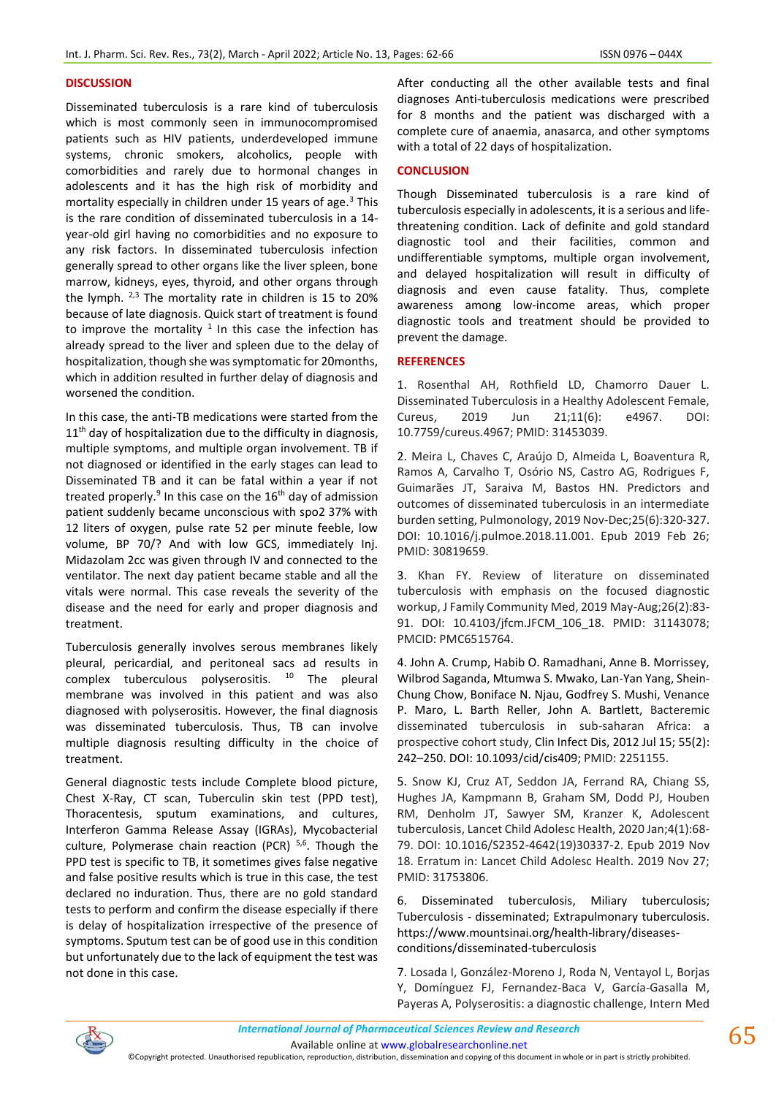## **DISCUSSION**

Disseminated tuberculosis is a rare kind of tuberculosis which is most commonly seen in immunocompromised patients such as HIV patients, underdeveloped immune systems, chronic smokers, alcoholics, people with comorbidities and rarely due to hormonal changes in adolescents and it has the high risk of morbidity and mortality especially in children under 15 years of age.<sup>3</sup> This is the rare condition of disseminated tuberculosis in a 14 year-old girl having no comorbidities and no exposure to any risk factors. In disseminated tuberculosis infection generally spread to other organs like the liver spleen, bone marrow, kidneys, eyes, thyroid, and other organs through the lymph.  $2,3$  The mortality rate in children is 15 to 20% because of late diagnosis. Quick start of treatment is found to improve the mortality  $1$  In this case the infection has already spread to the liver and spleen due to the delay of hospitalization, though she was symptomatic for 20months, which in addition resulted in further delay of diagnosis and worsened the condition.

In this case, the anti-TB medications were started from the 11<sup>th</sup> day of hospitalization due to the difficulty in diagnosis, multiple symptoms, and multiple organ involvement. TB if not diagnosed or identified in the early stages can lead to Disseminated TB and it can be fatal within a year if not treated properly.<sup>9</sup> In this case on the 16<sup>th</sup> day of admission patient suddenly became unconscious with spo2 37% with 12 liters of oxygen, pulse rate 52 per minute feeble, low volume, BP 70/? And with low GCS, immediately Inj. Midazolam 2cc was given through IV and connected to the ventilator. The next day patient became stable and all the vitals were normal. This case reveals the severity of the disease and the need for early and proper diagnosis and treatment.

Tuberculosis generally involves serous membranes likely pleural, pericardial, and peritoneal sacs ad results in complex tuberculous polyserositis.  $10$  The pleural membrane was involved in this patient and was also diagnosed with polyserositis. However, the final diagnosis was disseminated tuberculosis. Thus, TB can involve multiple diagnosis resulting difficulty in the choice of treatment.

General diagnostic tests include Complete blood picture, Chest X-Ray, CT scan, Tuberculin skin test (PPD test), Thoracentesis, sputum examinations, and cultures, Interferon Gamma Release Assay (IGRAs), Mycobacterial culture, Polymerase chain reaction (PCR)<sup>5,6</sup>. Though the PPD test is specific to TB, it sometimes gives false negative and false positive results which is true in this case, the test declared no induration. Thus, there are no gold standard tests to perform and confirm the disease especially if there is delay of hospitalization irrespective of the presence of symptoms. Sputum test can be of good use in this condition but unfortunately due to the lack of equipment the test was not done in this case.

After conducting all the other available tests and final diagnoses Anti-tuberculosis medications were prescribed for 8 months and the patient was discharged with a complete cure of anaemia, anasarca, and other symptoms with a total of 22 days of hospitalization.

## **CONCLUSION**

Though Disseminated tuberculosis is a rare kind of tuberculosis especially in adolescents, it is a serious and lifethreatening condition. Lack of definite and gold standard diagnostic tool and their facilities, common and undifferentiable symptoms, multiple organ involvement, and delayed hospitalization will result in difficulty of diagnosis and even cause fatality. Thus, complete awareness among low-income areas, which proper diagnostic tools and treatment should be provided to prevent the damage.

## **REFERENCES**

1. Rosenthal AH, Rothfield LD, Chamorro Dauer L. Disseminated Tuberculosis in a Healthy Adolescent Female, Cureus, 2019 Jun 21;11(6): e4967. DOI: 10.7759/cureus.4967; PMID: 31453039.

2. Meira L, Chaves C, Araújo D, Almeida L, Boaventura R, Ramos A, Carvalho T, Osório NS, Castro AG, Rodrigues F, Guimarães JT, Saraiva M, Bastos HN. Predictors and outcomes of disseminated tuberculosis in an intermediate burden setting, Pulmonology, 2019 Nov-Dec;25(6):320-327. DOI: 10.1016/j.pulmoe.2018.11.001. Epub 2019 Feb 26; PMID: 30819659.

3. Khan FY. Review of literature on disseminated tuberculosis with emphasis on the focused diagnostic workup, J Family Community Med, 2019 May-Aug;26(2):83- 91. DOI: 10.4103/jfcm.JFCM\_106\_18. PMID: 31143078; PMCID: PMC6515764.

4. John A. Crump, Habib O. Ramadhani, Anne B. Morrissey, Wilbrod Saganda, Mtumwa S. Mwako, Lan-Yan Yang, Shein-Chung Chow, Boniface N. Njau, Godfrey S. Mushi, Venance P. Maro, L. Barth Reller, John A. Bartlett, Bacteremic disseminated tuberculosis in sub-saharan Africa: a prospective cohort study, Clin Infect Dis, 2012 Jul 15; 55(2): 242–250. DOI: 10.1093/cid/cis409; PMID: 2251155.

5. Snow KJ, Cruz AT, Seddon JA, Ferrand RA, Chiang SS, Hughes JA, Kampmann B, Graham SM, Dodd PJ, Houben RM, Denholm JT, Sawyer SM, Kranzer K, Adolescent tuberculosis, Lancet Child Adolesc Health, 2020 Jan;4(1):68- 79. DOI: 10.1016/S2352-4642(19)30337-2. Epub 2019 Nov 18. Erratum in: Lancet Child Adolesc Health. 2019 Nov 27; PMID: 31753806.

6. Disseminated tuberculosis, Miliary tuberculosis; Tuberculosis - disseminated; Extrapulmonary tuberculosis. https://www.mountsinai.org/health-library/diseasesconditions/disseminated-tuberculosis

7. Losada I, González-Moreno J, Roda N, Ventayol L, Borjas Y, Domínguez FJ, Fernandez-Baca V, García-Gasalla M, Payeras A, Polyserositis: a diagnostic challenge, Intern Med